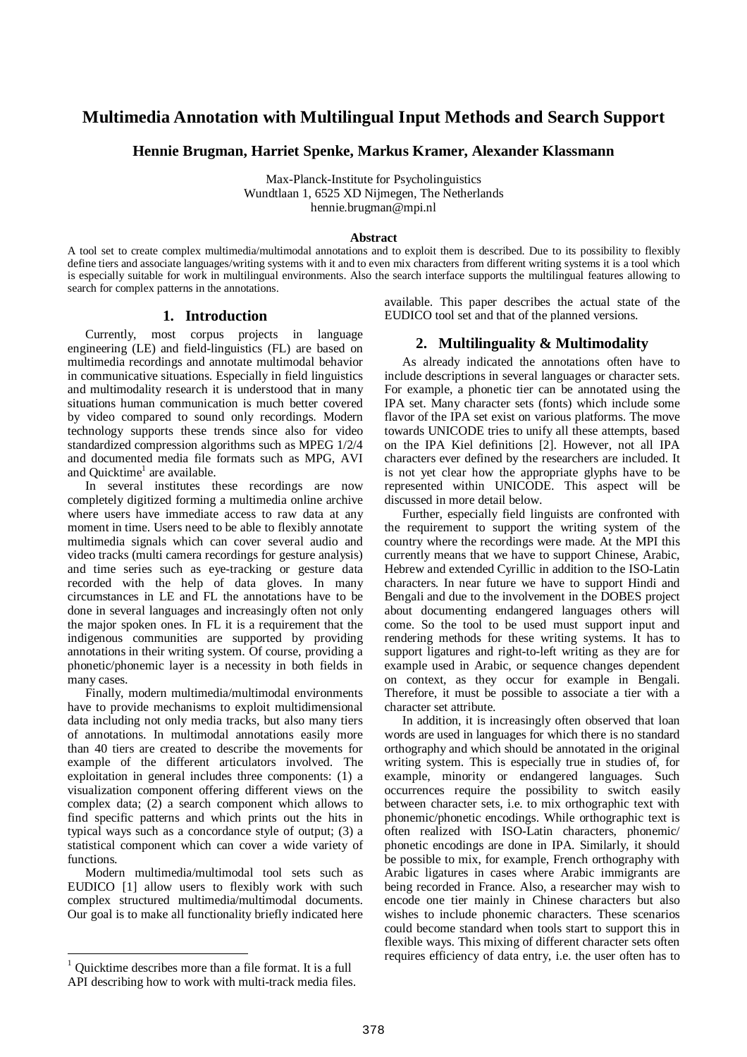# **Multimedia Annotation with Multilingual Input Methods and Search Support**

#### **Hennie Brugman, Harriet Spenke, Markus Kramer, Alexander Klassmann**

Max-Planck-Institute for Psycholinguistics Wundtlaan 1, 6525 XD Nijmegen, The Netherlands hennie.brugman@mpi.nl

#### **Abstract**

A tool set to create complex multimedia/multimodal annotations and to exploit them is described. Due to its possibility to flexibly define tiers and associate languages/writing systems with it and to even mix characters from different writing systems it is a tool which is especially suitable for work in multilingual environments. Also the search interface supports the multilingual features allowing to search for complex patterns in the annotations.

#### **1. Introduction**

Currently, most corpus projects in language engineering (LE) and field-linguistics (FL) are based on multimedia recordings and annotate multimodal behavior in communicative situations. Especially in field linguistics and multimodality research it is understood that in many situations human communication is much better covered by video compared to sound only recordings. Modern technology supports these trends since also for video standardized compression algorithms such as MPEG 1/2/4 and documented media file formats such as MPG, AVI and Quicktime<sup>1</sup> are available.

In several institutes these recordings are now completely digitized forming a multimedia online archive where users have immediate access to raw data at any moment in time. Users need to be able to flexibly annotate multimedia signals which can cover several audio and video tracks (multi camera recordings for gesture analysis) and time series such as eye-tracking or gesture data recorded with the help of data gloves. In many circumstances in LE and FL the annotations have to be done in several languages and increasingly often not only the major spoken ones. In FL it is a requirement that the indigenous communities are supported by providing annotations in their writing system. Of course, providing a phonetic/phonemic layer is a necessity in both fields in many cases.

Finally, modern multimedia/multimodal environments have to provide mechanisms to exploit multidimensional data including not only media tracks, but also many tiers of annotations. In multimodal annotations easily more than 40 tiers are created to describe the movements for example of the different articulators involved. The exploitation in general includes three components: (1) a visualization component offering different views on the complex data; (2) a search component which allows to find specific patterns and which prints out the hits in typical ways such as a concordance style of output; (3) a statistical component which can cover a wide variety of functions.

Modern multimedia/multimodal tool sets such as EUDICO [1] allow users to flexibly work with such complex structured multimedia/multimodal documents. Our goal is to make all functionality briefly indicated here

 $\overline{a}$ 

available. This paper describes the actual state of the EUDICO tool set and that of the planned versions.

#### **2. Multilinguality & Multimodality**

As already indicated the annotations often have to include descriptions in several languages or character sets. For example, a phonetic tier can be annotated using the IPA set. Many character sets (fonts) which include some flavor of the IPA set exist on various platforms. The move towards UNICODE tries to unify all these attempts, based on the IPA Kiel definitions [2]. However, not all IPA characters ever defined by the researchers are included. It is not yet clear how the appropriate glyphs have to be represented within UNICODE. This aspect will be discussed in more detail below.

Further, especially field linguists are confronted with the requirement to support the writing system of the country where the recordings were made. At the MPI this currently means that we have to support Chinese, Arabic, Hebrew and extended Cyrillic in addition to the ISO-Latin characters. In near future we have to support Hindi and Bengali and due to the involvement in the DOBES project about documenting endangered languages others will come. So the tool to be used must support input and rendering methods for these writing systems. It has to support ligatures and right-to-left writing as they are for example used in Arabic, or sequence changes dependent on context, as they occur for example in Bengali. Therefore, it must be possible to associate a tier with a character set attribute.

In addition, it is increasingly often observed that loan words are used in languages for which there is no standard orthography and which should be annotated in the original writing system. This is especially true in studies of, for example, minority or endangered languages. Such occurrences require the possibility to switch easily between character sets, i.e. to mix orthographic text with phonemic/phonetic encodings. While orthographic text is often realized with ISO-Latin characters, phonemic/ phonetic encodings are done in IPA. Similarly, it should be possible to mix, for example, French orthography with Arabic ligatures in cases where Arabic immigrants are being recorded in France. Also, a researcher may wish to encode one tier mainly in Chinese characters but also wishes to include phonemic characters. These scenarios could become standard when tools start to support this in flexible ways. This mixing of different character sets often requires efficiency of data entry, i.e. the user often has to

<sup>&</sup>lt;sup>1</sup> Ouicktime describes more than a file format. It is a full API describing how to work with multi-track media files.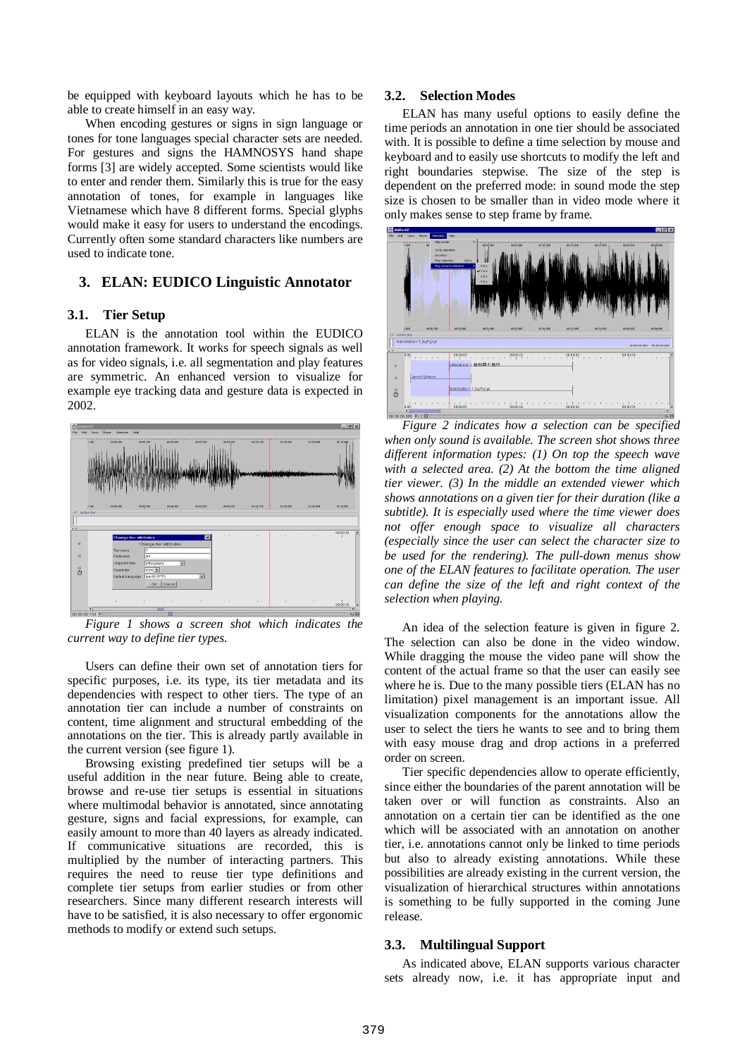be equipped with keyboard layouts which he has to be able to create himself in an easy way.

When encoding gestures or signs in sign language or tones for tone languages special character sets are needed. For gestures and signs the HAMNOSYS hand shape forms [3] are widely accepted. Some scientists would like to enter and render them. Similarly this is true for the easy annotation of tones, for example in languages like Vietnamese which have 8 different forms. Special glyphs would make it easy for users to understand the encodings. Currently often some standard characters like numbers are used to indicate tone.

## **3. ELAN: EUDICO Linguistic Annotator**

#### **3.1. Tier Setup**

ELAN is the annotation tool within the EUDICO annotation framework. It works for speech signals as well as for video signals, i.e. all segmentation and play features are symmetric. An enhanced version to visualize for example eye tracking data and gesture data is expected in 2002.



*Figure 1 shows a screen shot which indicates the current way to define tier types.*

Users can define their own set of annotation tiers for specific purposes, i.e. its type, its tier metadata and its dependencies with respect to other tiers. The type of an annotation tier can include a number of constraints on content, time alignment and structural embedding of the annotations on the tier. This is already partly available in the current version (see figure 1).

Browsing existing predefined tier setups will be a useful addition in the near future. Being able to create, browse and re-use tier setups is essential in situations where multimodal behavior is annotated, since annotating gesture, signs and facial expressions, for example, can easily amount to more than 40 layers as already indicated. If communicative situations are recorded, this is multiplied by the number of interacting partners. This requires the need to reuse tier type definitions and complete tier setups from earlier studies or from other researchers. Since many different research interests will have to be satisfied, it is also necessary to offer ergonomic methods to modify or extend such setups.

#### **3.2. Selection Modes**

ELAN has many useful options to easily define the time periods an annotation in one tier should be associated with. It is possible to define a time selection by mouse and keyboard and to easily use shortcuts to modify the left and right boundaries stepwise. The size of the step is dependent on the preferred mode: in sound mode the step size is chosen to be smaller than in video mode where it only makes sense to step frame by frame.



*Figure 2 indicates how a selection can be specified when only sound is available. The screen shot shows three different information types: (1) On top the speech wave with a selected area. (2) At the bottom the time aligned tier viewer. (3) In the middle an extended viewer which shows annotations on a given tier for their duration (like a subtitle). It is especially used where the time viewer does not offer enough space to visualize all characters (especially since the user can select the character size to be used for the rendering). The pull-down menus show one of the ELAN features to facilitate operation. The user can define the size of the left and right context of the selection when playing.*

An idea of the selection feature is given in figure 2. The selection can also be done in the video window. While dragging the mouse the video pane will show the content of the actual frame so that the user can easily see where he is. Due to the many possible tiers (ELAN has no limitation) pixel management is an important issue. All visualization components for the annotations allow the user to select the tiers he wants to see and to bring them with easy mouse drag and drop actions in a preferred order on screen.

Tier specific dependencies allow to operate efficiently, since either the boundaries of the parent annotation will be taken over or will function as constraints. Also an annotation on a certain tier can be identified as the one which will be associated with an annotation on another tier, i.e. annotations cannot only be linked to time periods but also to already existing annotations. While these possibilities are already existing in the current version, the visualization of hierarchical structures within annotations is something to be fully supported in the coming June release.

#### **3.3. Multilingual Support**

As indicated above, ELAN supports various character sets already now, i.e. it has appropriate input and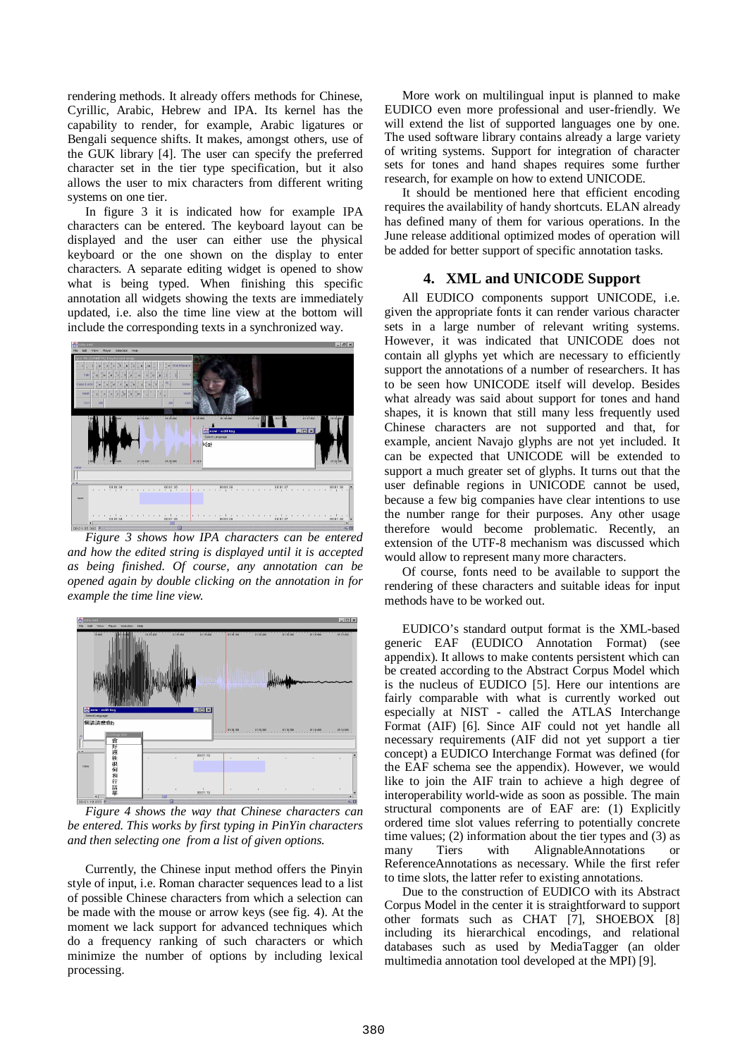rendering methods. It already offers methods for Chinese, Cyrillic, Arabic, Hebrew and IPA. Its kernel has the capability to render, for example, Arabic ligatures or Bengali sequence shifts. It makes, amongst others, use of the GUK library [4]. The user can specify the preferred character set in the tier type specification, but it also allows the user to mix characters from different writing systems on one tier.

In figure 3 it is indicated how for example IPA characters can be entered. The keyboard layout can be displayed and the user can either use the physical keyboard or the one shown on the display to enter characters. A separate editing widget is opened to show what is being typed. When finishing this specific annotation all widgets showing the texts are immediately updated, i.e. also the time line view at the bottom will include the corresponding texts in a synchronized way.



*Figure 3 shows how IPA characters can be entered and how the edited string is displayed until it is accepted as being finished. Of course, any annotation can be opened again by double clicking on the annotation in for example the time line view.*



*Figure 4 shows the way that Chinese characters can be entered. This works by first typing in PinYin characters and then selecting one from a list of given options.*

Currently, the Chinese input method offers the Pinyin style of input, i.e. Roman character sequences lead to a list of possible Chinese characters from which a selection can be made with the mouse or arrow keys (see fig. 4). At the moment we lack support for advanced techniques which do a frequency ranking of such characters or which minimize the number of options by including lexical processing.

More work on multilingual input is planned to make EUDICO even more professional and user-friendly. We will extend the list of supported languages one by one. The used software library contains already a large variety of writing systems. Support for integration of character sets for tones and hand shapes requires some further research, for example on how to extend UNICODE.

It should be mentioned here that efficient encoding requires the availability of handy shortcuts. ELAN already has defined many of them for various operations. In the June release additional optimized modes of operation will be added for better support of specific annotation tasks.

## **4. XML and UNICODE Support**

All EUDICO components support UNICODE, i.e. given the appropriate fonts it can render various character sets in a large number of relevant writing systems. However, it was indicated that UNICODE does not contain all glyphs yet which are necessary to efficiently support the annotations of a number of researchers. It has to be seen how UNICODE itself will develop. Besides what already was said about support for tones and hand shapes, it is known that still many less frequently used Chinese characters are not supported and that, for example, ancient Navajo glyphs are not yet included. It can be expected that UNICODE will be extended to support a much greater set of glyphs. It turns out that the user definable regions in UNICODE cannot be used, because a few big companies have clear intentions to use the number range for their purposes. Any other usage therefore would become problematic. Recently, an extension of the UTF-8 mechanism was discussed which would allow to represent many more characters.

Of course, fonts need to be available to support the rendering of these characters and suitable ideas for input methods have to be worked out.

EUDICO's standard output format is the XML-based generic EAF (EUDICO Annotation Format) (see appendix). It allows to make contents persistent which can be created according to the Abstract Corpus Model which is the nucleus of EUDICO [5]. Here our intentions are fairly comparable with what is currently worked out especially at NIST - called the ATLAS Interchange Format (AIF) [6]. Since AIF could not yet handle all necessary requirements (AIF did not yet support a tier concept) a EUDICO Interchange Format was defined (for the EAF schema see the appendix). However, we would like to join the AIF train to achieve a high degree of interoperability world-wide as soon as possible. The main structural components are of EAF are: (1) Explicitly ordered time slot values referring to potentially concrete time values; (2) information about the tier types and (3) as many Tiers with AlignableAnnotations or ReferenceAnnotations as necessary. While the first refer to time slots, the latter refer to existing annotations.

Due to the construction of EUDICO with its Abstract Corpus Model in the center it is straightforward to support other formats such as CHAT [7], SHOEBOX [8] including its hierarchical encodings, and relational databases such as used by MediaTagger (an older multimedia annotation tool developed at the MPI) [9].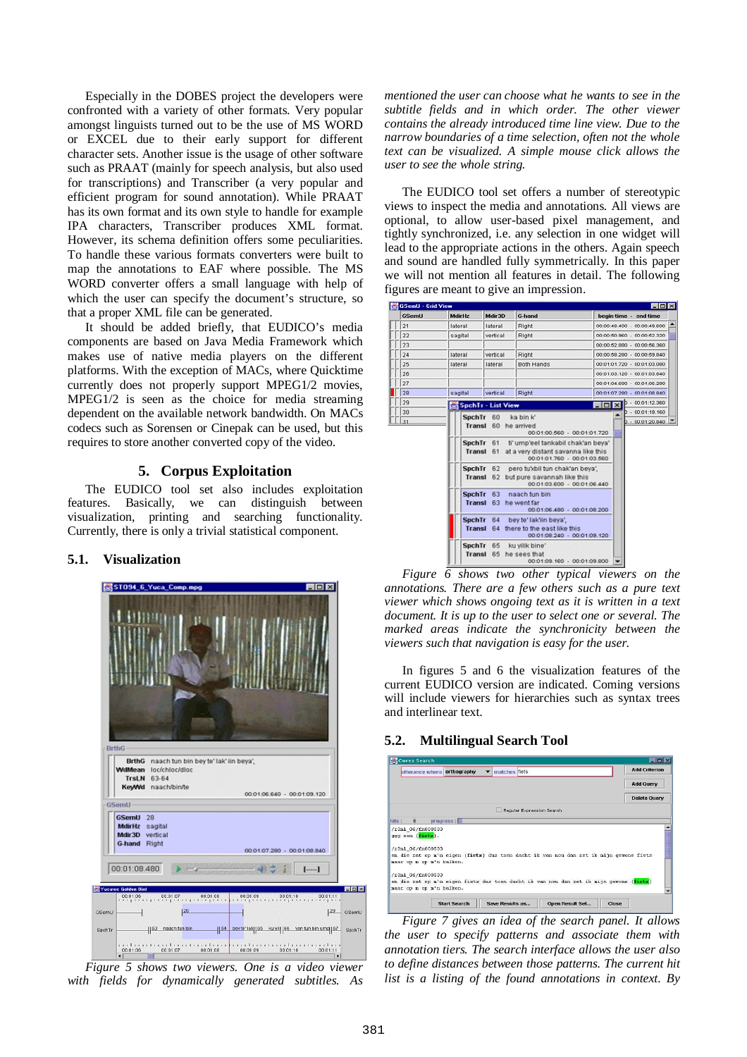Especially in the DOBES project the developers were confronted with a variety of other formats. Very popular amongst linguists turned out to be the use of MS WORD or EXCEL due to their early support for different character sets. Another issue is the usage of other software such as PRAAT (mainly for speech analysis, but also used for transcriptions) and Transcriber (a very popular and efficient program for sound annotation). While PRAAT has its own format and its own style to handle for example IPA characters, Transcriber produces XML format. However, its schema definition offers some peculiarities. To handle these various formats converters were built to map the annotations to EAF where possible. The MS WORD converter offers a small language with help of which the user can specify the document's structure, so that a proper XML file can be generated.

It should be added briefly, that EUDICO's media components are based on Java Media Framework which makes use of native media players on the different platforms. With the exception of MACs, where Quicktime currently does not properly support MPEG1/2 movies, MPEG1/2 is seen as the choice for media streaming dependent on the available network bandwidth. On MACs codecs such as Sorensen or Cinepak can be used, but this requires to store another converted copy of the video.

## **5. Corpus Exploitation**

The EUDICO tool set also includes exploitation features. Basically, we can distinguish between visualization, printing and searching functionality. Currently, there is only a trivial statistical component.

## **5.1. Visualization**



*Figure 5 shows two viewers. One is a video viewer with fields for dynamically generated subtitles. As*

*mentioned the user can choose what he wants to see in the subtitle fields and in which order. The other viewer contains the already introduced time line view. Due to the narrow boundaries of a time selection, often not the whole text can be visualized. A simple mouse click allows the user to see the whole string.*

The EUDICO tool set offers a number of stereotypic views to inspect the media and annotations. All views are optional, to allow user-based pixel management, and tightly synchronized, i.e. any selection in one widget will lead to the appropriate actions in the others. Again speech and sound are handled fully symmetrically. In this paper we will not mention all features in detail. The following figures are meant to give an impression.



*annotations. There are a few others such as a pure text viewer which shows ongoing text as it is written in a text document. It is up to the user to select one or several. The marked areas indicate the synchronicity between the viewers such that navigation is easy for the user.*

In figures 5 and 6 the visualization features of the current EUDICO version are indicated. Coming versions will include viewers for hierarchies such as syntax trees and interlinear text.

## **5.2. Multilingual Search Tool**

| Corex Search                                  |           |                          |               |                           | 国国区                                                                                    |
|-----------------------------------------------|-----------|--------------------------|---------------|---------------------------|----------------------------------------------------------------------------------------|
| utterance where <b>orthography</b>            |           | $\overline{\phantom{a}}$ | matches fiets |                           | <b>Add Criterion</b>                                                                   |
|                                               |           |                          |               |                           | <b>Add Query</b>                                                                       |
|                                               |           |                          |               |                           | <b>Delete Query</b>                                                                    |
|                                               |           |                          |               | Regular Expression Search |                                                                                        |
| 6<br>hits:                                    | progress: |                          |               |                           |                                                                                        |
| ggg een {fiets}.                              |           |                          |               |                           |                                                                                        |
| /r3n1 06/fn000533<br>maar op n op n'n balkon. |           |                          |               |                           | en die zat op m'n eigen (fiets) dus toen dacht ik van nou dan zet ik mijn gewone fiets |

*Figure 7 gives an idea of the search panel. It allows the user to specify patterns and associate them with annotation tiers. The search interface allows the user also to define distances between those patterns. The current hit list is a listing of the found annotations in context. By*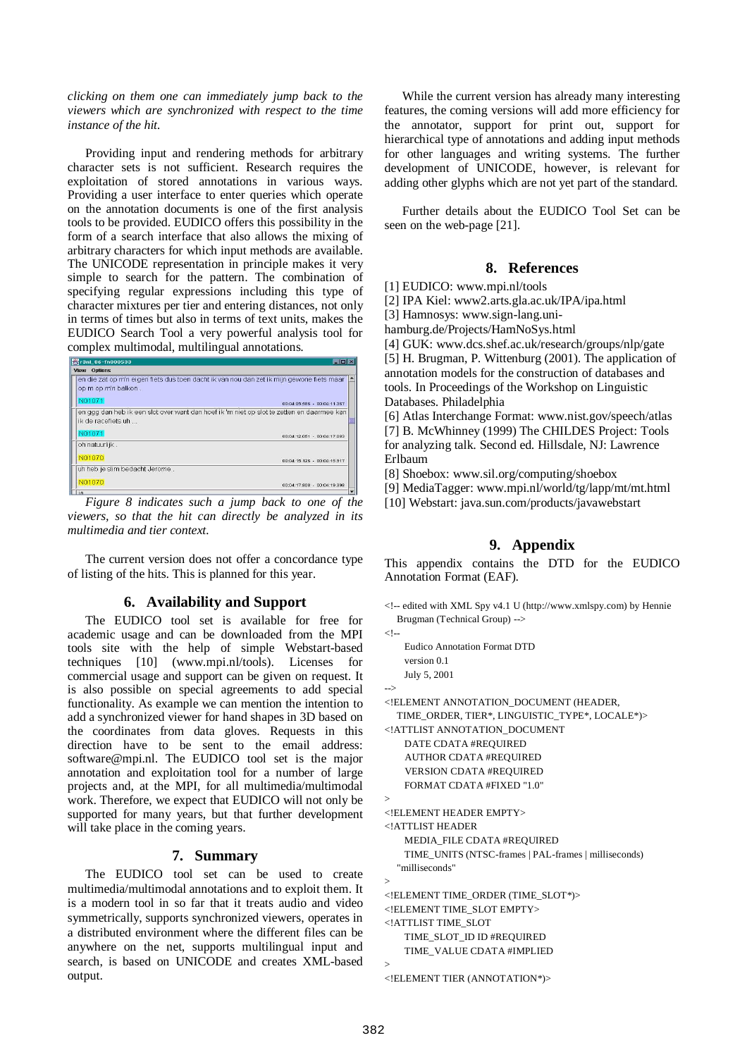*clicking on them one can immediately jump back to the viewers which are synchronized with respect to the time instance of the hit.*

Providing input and rendering methods for arbitrary character sets is not sufficient. Research requires the exploitation of stored annotations in various ways. Providing a user interface to enter queries which operate on the annotation documents is one of the first analysis tools to be provided. EUDICO offers this possibility in the form of a search interface that also allows the mixing of arbitrary characters for which input methods are available. The UNICODE representation in principle makes it very simple to search for the pattern. The combination of specifying regular expressions including this type of character mixtures per tier and entering distances, not only in terms of times but also in terms of text units, makes the EUDICO Search Tool a very powerful analysis tool for complex multimodal, multilingual annotations.

| <b>※r3nl_06-fn000533</b>                                                                                         | EEX                         |
|------------------------------------------------------------------------------------------------------------------|-----------------------------|
| View Options                                                                                                     |                             |
| en die zat op m'n eigen fiets dus toen dacht ik van nou dan zet ik mijn gewone fiets maar<br>op m op m'n balkon. |                             |
| N01071                                                                                                           | 00:04:05.586 - 00:04:11.367 |
| en ggg dan heb ik een slot over want dan hoef ik 'm niet op slot te zetten en daarmee kan<br>lik de racefiets uh |                             |
| N01071                                                                                                           | 00:04:12.051 - 00:04:17.083 |
| oh natuurlijk.                                                                                                   |                             |
| N01070                                                                                                           | 00:04:15.126 - 00:04:15.917 |
| uh heb je slim bedacht Jerome.                                                                                   |                             |
| N01070                                                                                                           | 00:04:17.808 - 00:04:19.398 |
| ia                                                                                                               |                             |

*Figure 8 indicates such a jump back to one of the viewers, so that the hit can directly be analyzed in its multimedia and tier context.*

The current version does not offer a concordance type of listing of the hits. This is planned for this year.

## **6. Availability and Support**

The EUDICO tool set is available for free for academic usage and can be downloaded from the MPI tools site with the help of simple Webstart-based techniques [10] (www.mpi.nl/tools). Licenses for commercial usage and support can be given on request. It is also possible on special agreements to add special functionality. As example we can mention the intention to add a synchronized viewer for hand shapes in 3D based on the coordinates from data gloves. Requests in this direction have to be sent to the email address: software@mpi.nl. The EUDICO tool set is the major annotation and exploitation tool for a number of large projects and, at the MPI, for all multimedia/multimodal work. Therefore, we expect that EUDICO will not only be supported for many years, but that further development will take place in the coming years.

#### **7. Summary**

The EUDICO tool set can be used to create multimedia/multimodal annotations and to exploit them. It is a modern tool in so far that it treats audio and video symmetrically, supports synchronized viewers, operates in a distributed environment where the different files can be anywhere on the net, supports multilingual input and search, is based on UNICODE and creates XML-based output.

While the current version has already many interesting features, the coming versions will add more efficiency for the annotator, support for print out, support for hierarchical type of annotations and adding input methods for other languages and writing systems. The further development of UNICODE, however, is relevant for adding other glyphs which are not yet part of the standard.

Further details about the EUDICO Tool Set can be seen on the web-page [21].

## **8. References**

[1] EUDICO: www.mpi.nl/tools

[2] IPA Kiel: www2.arts.gla.ac.uk/IPA/ipa.html

[3] Hamnosys: www.sign-lang.uni-

hamburg.de/Projects/HamNoSys.html

[4] GUK: www.dcs.shef.ac.uk/research/groups/nlp/gate [5] H. Brugman, P. Wittenburg (2001). The application of annotation models for the construction of databases and tools. In Proceedings of the Workshop on Linguistic Databases. Philadelphia

[6] Atlas Interchange Format: www.nist.gov/speech/atlas [7] B. McWhinney (1999) The CHILDES Project: Tools for analyzing talk. Second ed. Hillsdale, NJ: Lawrence Erlbaum

[8] Shoebox: www.sil.org/computing/shoebox

[9] MediaTagger: www.mpi.nl/world/tg/lapp/mt/mt.html

[10] Webstart: java.sun.com/products/javawebstart

# **9. Appendix**

This appendix contains the DTD for the EUDICO Annotation Format (EAF).

```
<!-- edited with XML Spy v4.1 U (http://www.xmlspy.com) by Hennie
Brugman (Technical Group) -->
```

```
\lt!!--
  Eudico Annotation Format DTD
  version 0.1
  July 5, 2001
```
-->

```
<!ELEMENT ANNOTATION_DOCUMENT (HEADER,
```

```
TIME_ORDER, TIER*, LINGUISTIC_TYPE*, LOCALE*)>
```
<!ATTLIST ANNOTATION\_DOCUMENT DATE CDATA #REQUIRED AUTHOR CDATA #REQUIRED VERSION CDATA #REQUIRED FORMAT CDATA #FIXED "1.0"

```
>
```
 $\rightarrow$ 

>

<!ELEMENT HEADER EMPTY> <!ATTLIST HEADER

MEDIA\_FILE CDATA #REQUIRED

TIME\_UNITS (NTSC-frames | PAL-frames | milliseconds) "milliseconds"

<!ELEMENT TIME\_ORDER (TIME\_SLOT\*)> <!ELEMENT TIME\_SLOT EMPTY> <!ATTLIST TIME\_SLOT TIME\_SLOT\_ID ID #REQUIRED

TIME\_VALUE CDATA #IMPLIED

<!ELEMENT TIER (ANNOTATION\*)>